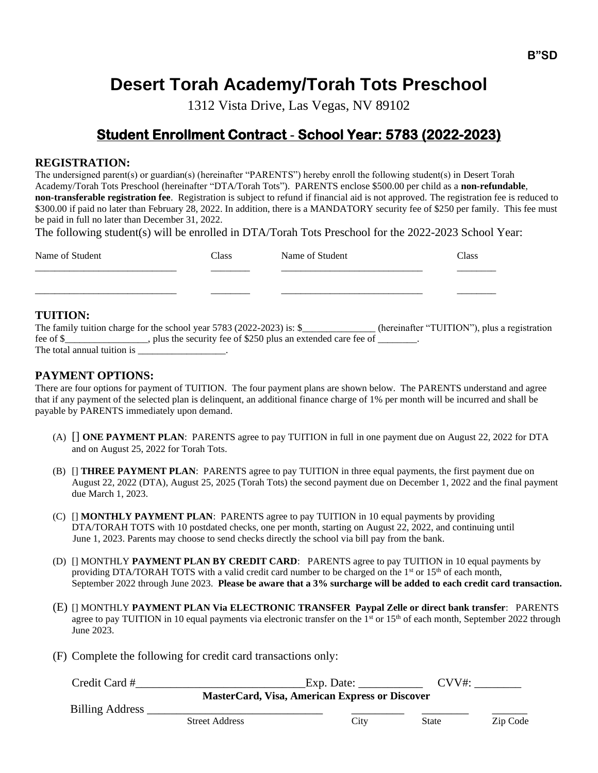# **Desert Torah Academy/Torah Tots Preschool**

1312 Vista Drive, Las Vegas, NV 89102

# **Student Enrollment Contract - School Year: 5783 (2022-2023)**

#### **REGISTRATION:**

The undersigned parent(s) or guardian(s) (hereinafter "PARENTS") hereby enroll the following student(s) in Desert Torah Academy/Torah Tots Preschool (hereinafter "DTA/Torah Tots"). PARENTS enclose \$500.00 per child as a **non-refundable**, **non-transferable registration fee**. Registration is subject to refund if financial aid is not approved. The registration fee is reduced to \$300.00 if paid no later than February 28, 2022. In addition, there is a MANDATORY security fee of \$250 per family. This fee must be paid in full no later than December 31, 2022.

The following student(s) will be enrolled in DTA/Torah Tots Preschool for the 2022-2023 School Year:

| Name of Student | <b>Class</b> | Name of Student | Class |
|-----------------|--------------|-----------------|-------|
|                 |              |                 |       |
|                 |              |                 |       |

#### **TUITION:**

|                             | The family tuition charge for the school year 5783 (2022-2023) is: $\$ |  | (hereinafter "TUITION"), plus a registration |
|-----------------------------|------------------------------------------------------------------------|--|----------------------------------------------|
| fee of \$                   | , plus the security fee of \$250 plus an extended care fee of          |  |                                              |
| The total annual tuition is |                                                                        |  |                                              |

# **PAYMENT OPTIONS:**

There are four options for payment of TUITION. The four payment plans are shown below. The PARENTS understand and agree that if any payment of the selected plan is delinquent, an additional finance charge of 1% per month will be incurred and shall be payable by PARENTS immediately upon demand.

- (A) [] **ONE PAYMENT PLAN**: PARENTS agree to pay TUITION in full in one payment due on August 22, 2022 for DTA and on August 25, 2022 for Torah Tots.
- (B) [] **THREE PAYMENT PLAN**: PARENTS agree to pay TUITION in three equal payments, the first payment due on August 22, 2022 (DTA), August 25, 2025 (Torah Tots) the second payment due on December 1, 2022 and the final payment due March 1, 2023.
- (C) [] **MONTHLY PAYMENT PLAN**: PARENTS agree to pay TUITION in 10 equal payments by providing DTA/TORAH TOTS with 10 postdated checks, one per month, starting on August 22, 2022, and continuing until June 1, 2023. Parents may choose to send checks directly the school via bill pay from the bank.
- (D) [] MONTHLY **PAYMENT PLAN BY CREDIT CARD**: PARENTS agree to pay TUITION in 10 equal payments by providing DTA/TORAH TOTS with a valid credit card number to be charged on the  $1<sup>st</sup>$  or  $15<sup>th</sup>$  of each month, September 2022 through June 2023. **Please be aware that a 3% surcharge will be added to each credit card transaction.**
- (E) [] MONTHLY **PAYMENT PLAN Via ELECTRONIC TRANSFER Paypal Zelle or direct bank transfer**: PARENTS agree to pay TUITION in 10 equal payments via electronic transfer on the  $1<sup>st</sup>$  or  $15<sup>th</sup>$  of each month, September 2022 through June 2023.
- (F) Complete the following for credit card transactions only:

| Credit Card #                                         |                       | Exp. Date: | CVV#·        |          |  |  |
|-------------------------------------------------------|-----------------------|------------|--------------|----------|--|--|
| <b>MasterCard, Visa, American Express or Discover</b> |                       |            |              |          |  |  |
| <b>Billing Address</b>                                | <b>Street Address</b> | City       | <b>State</b> | Zip Code |  |  |